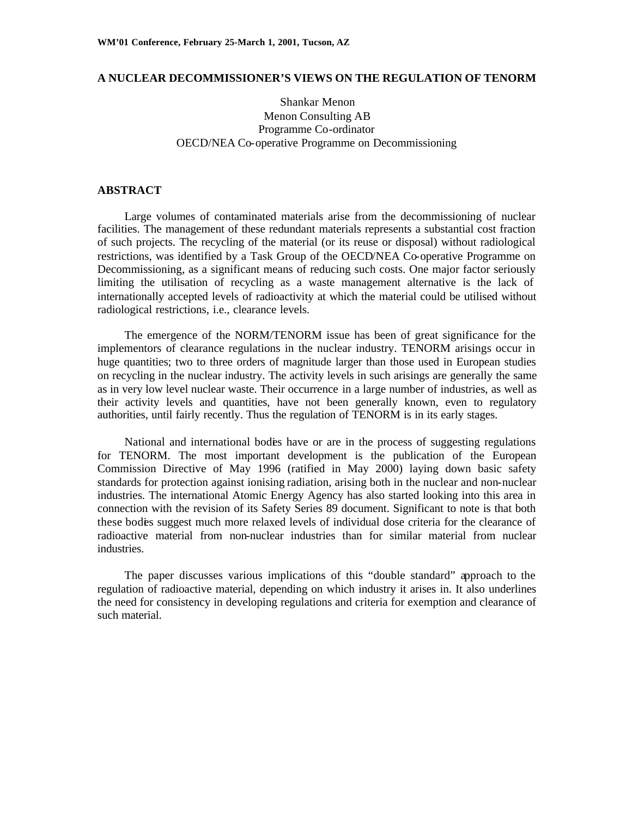### **A NUCLEAR DECOMMISSIONER'S VIEWS ON THE REGULATION OF TENORM**

# Shankar Menon Menon Consulting AB Programme Co-ordinator OECD/NEA Co-operative Programme on Decommissioning

### **ABSTRACT**

Large volumes of contaminated materials arise from the decommissioning of nuclear facilities. The management of these redundant materials represents a substantial cost fraction of such projects. The recycling of the material (or its reuse or disposal) without radiological restrictions, was identified by a Task Group of the OECD/NEA Co-operative Programme on Decommissioning, as a significant means of reducing such costs. One major factor seriously limiting the utilisation of recycling as a waste management alternative is the lack of internationally accepted levels of radioactivity at which the material could be utilised without radiological restrictions, i.e., clearance levels.

The emergence of the NORM/TENORM issue has been of great significance for the implementors of clearance regulations in the nuclear industry. TENORM arisings occur in huge quantities; two to three orders of magnitude larger than those used in European studies on recycling in the nuclear industry. The activity levels in such arisings are generally the same as in very low level nuclear waste. Their occurrence in a large number of industries, as well as their activity levels and quantities, have not been generally known, even to regulatory authorities, until fairly recently. Thus the regulation of TENORM is in its early stages.

National and international bodies have or are in the process of suggesting regulations for TENORM. The most important development is the publication of the European Commission Directive of May 1996 (ratified in May 2000) laying down basic safety standards for protection against ionising radiation, arising both in the nuclear and non-nuclear industries. The international Atomic Energy Agency has also started looking into this area in connection with the revision of its Safety Series 89 document. Significant to note is that both these bodies suggest much more relaxed levels of individual dose criteria for the clearance of radioactive material from non-nuclear industries than for similar material from nuclear industries.

The paper discusses various implications of this "double standard" approach to the regulation of radioactive material, depending on which industry it arises in. It also underlines the need for consistency in developing regulations and criteria for exemption and clearance of such material.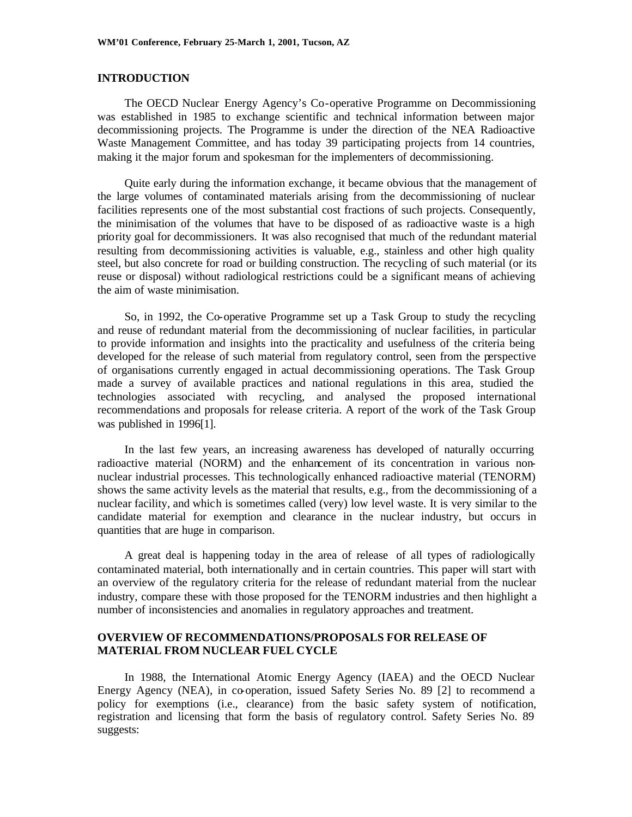### **INTRODUCTION**

The OECD Nuclear Energy Agency's Co-operative Programme on Decommissioning was established in 1985 to exchange scientific and technical information between major decommissioning projects. The Programme is under the direction of the NEA Radioactive Waste Management Committee, and has today 39 participating projects from 14 countries, making it the major forum and spokesman for the implementers of decommissioning.

Quite early during the information exchange, it became obvious that the management of the large volumes of contaminated materials arising from the decommissioning of nuclear facilities represents one of the most substantial cost fractions of such projects. Consequently, the minimisation of the volumes that have to be disposed of as radioactive waste is a high priority goal for decommissioners. It was also recognised that much of the redundant material resulting from decommissioning activities is valuable, e.g., stainless and other high quality steel, but also concrete for road or building construction. The recycling of such material (or its reuse or disposal) without radiological restrictions could be a significant means of achieving the aim of waste minimisation.

So, in 1992, the Co-operative Programme set up a Task Group to study the recycling and reuse of redundant material from the decommissioning of nuclear facilities, in particular to provide information and insights into the practicality and usefulness of the criteria being developed for the release of such material from regulatory control, seen from the perspective of organisations currently engaged in actual decommissioning operations. The Task Group made a survey of available practices and national regulations in this area, studied the technologies associated with recycling, and analysed the proposed international recommendations and proposals for release criteria. A report of the work of the Task Group was published in 1996[1].

In the last few years, an increasing awareness has developed of naturally occurring radioactive material (NORM) and the enhancement of its concentration in various nonnuclear industrial processes. This technologically enhanced radioactive material (TENORM) shows the same activity levels as the material that results, e.g., from the decommissioning of a nuclear facility, and which is sometimes called (very) low level waste. It is very similar to the candidate material for exemption and clearance in the nuclear industry, but occurs in quantities that are huge in comparison.

A great deal is happening today in the area of release of all types of radiologically contaminated material, both internationally and in certain countries. This paper will start with an overview of the regulatory criteria for the release of redundant material from the nuclear industry, compare these with those proposed for the TENORM industries and then highlight a number of inconsistencies and anomalies in regulatory approaches and treatment.

## **OVERVIEW OF RECOMMENDATIONS/PROPOSALS FOR RELEASE OF MATERIAL FROM NUCLEAR FUEL CYCLE**

In 1988, the International Atomic Energy Agency (IAEA) and the OECD Nuclear Energy Agency (NEA), in co-operation, issued Safety Series No. 89 [2] to recommend a policy for exemptions (i.e., clearance) from the basic safety system of notification, registration and licensing that form the basis of regulatory control. Safety Series No. 89 suggests: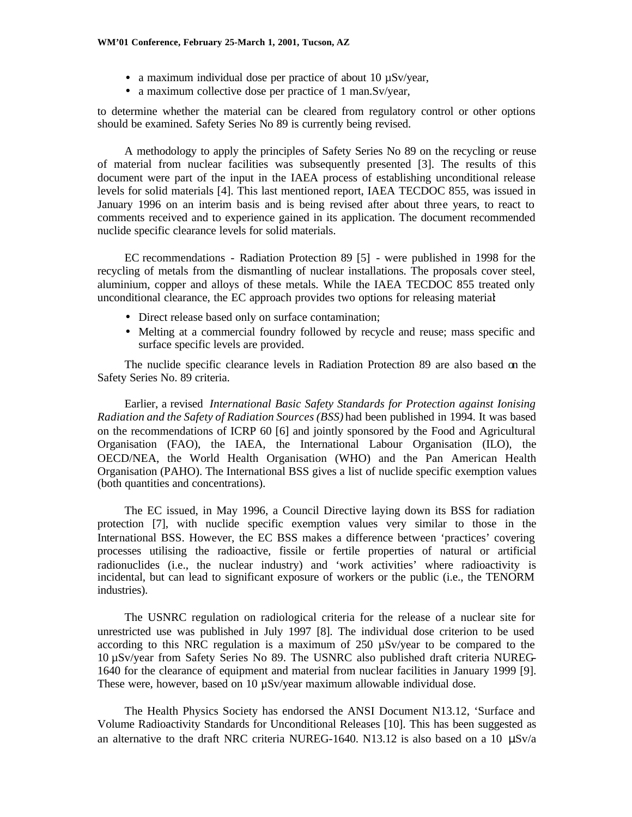- a maximum individual dose per practice of about 10  $\mu$ Sv/year,
- a maximum collective dose per practice of 1 man.Sv/year,

to determine whether the material can be cleared from regulatory control or other options should be examined. Safety Series No 89 is currently being revised.

A methodology to apply the principles of Safety Series No 89 on the recycling or reuse of material from nuclear facilities was subsequently presented [3]. The results of this document were part of the input in the IAEA process of establishing unconditional release levels for solid materials [4]. This last mentioned report, IAEA TECDOC 855, was issued in January 1996 on an interim basis and is being revised after about three years, to react to comments received and to experience gained in its application. The document recommended nuclide specific clearance levels for solid materials.

EC recommendations - Radiation Protection 89 [5] - were published in 1998 for the recycling of metals from the dismantling of nuclear installations. The proposals cover steel, aluminium, copper and alloys of these metals. While the IAEA TECDOC 855 treated only unconditional clearance, the EC approach provides two options for releasing material:

- Direct release based only on surface contamination;
- Melting at a commercial foundry followed by recycle and reuse; mass specific and surface specific levels are provided.

The nuclide specific clearance levels in Radiation Protection 89 are also based on the Safety Series No. 89 criteria.

Earlier, a revised *International Basic Safety Standards for Protection against Ionising Radiation and the Safety of Radiation Sources (BSS)* had been published in 1994. It was based on the recommendations of ICRP 60 [6] and jointly sponsored by the Food and Agricultural Organisation (FAO), the IAEA, the International Labour Organisation (ILO), the OECD/NEA, the World Health Organisation (WHO) and the Pan American Health Organisation (PAHO). The International BSS gives a list of nuclide specific exemption values (both quantities and concentrations).

The EC issued, in May 1996, a Council Directive laying down its BSS for radiation protection [7], with nuclide specific exemption values very similar to those in the International BSS. However, the EC BSS makes a difference between 'practices' covering processes utilising the radioactive, fissile or fertile properties of natural or artificial radionuclides (i.e., the nuclear industry) and 'work activities' where radioactivity is incidental, but can lead to significant exposure of workers or the public (i.e., the TENORM industries).

The USNRC regulation on radiological criteria for the release of a nuclear site for unrestricted use was published in July 1997 [8]. The individual dose criterion to be used according to this NRC regulation is a maximum of  $250 \mu$ Sv/year to be compared to the 10 µSv/year from Safety Series No 89. The USNRC also published draft criteria NUREG-1640 for the clearance of equipment and material from nuclear facilities in January 1999 [9]. These were, however, based on 10  $\mu$ Sv/year maximum allowable individual dose.

The Health Physics Society has endorsed the ANSI Document N13.12, 'Surface and Volume Radioactivity Standards for Unconditional Releases [10]. This has been suggested as an alternative to the draft NRC criteria NUREG-1640. N13.12 is also based on a 10  $\mu$ Sv/a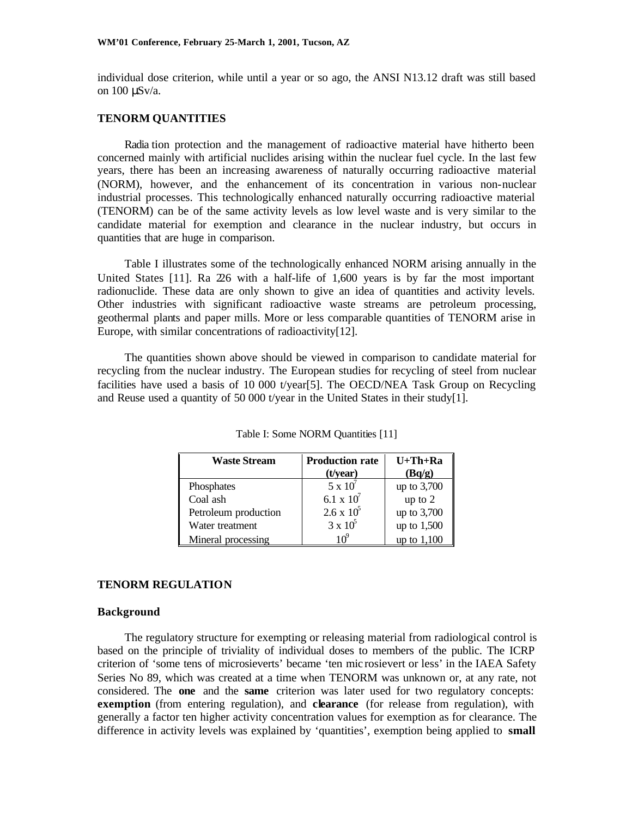individual dose criterion, while until a year or so ago, the ANSI N13.12 draft was still based on 100 μSv/a.

## **TENORM QUANTITIES**

Radia tion protection and the management of radioactive material have hitherto been concerned mainly with artificial nuclides arising within the nuclear fuel cycle. In the last few years, there has been an increasing awareness of naturally occurring radioactive material (NORM), however, and the enhancement of its concentration in various non-nuclear industrial processes. This technologically enhanced naturally occurring radioactive material (TENORM) can be of the same activity levels as low level waste and is very similar to the candidate material for exemption and clearance in the nuclear industry, but occurs in quantities that are huge in comparison.

Table I illustrates some of the technologically enhanced NORM arising annually in the United States [11]. Ra 226 with a half-life of 1,600 years is by far the most important radionuclide. These data are only shown to give an idea of quantities and activity levels. Other industries with significant radioactive waste streams are petroleum processing, geothermal plants and paper mills. More or less comparable quantities of TENORM arise in Europe, with similar concentrations of radioactivity[12].

The quantities shown above should be viewed in comparison to candidate material for recycling from the nuclear industry. The European studies for recycling of steel from nuclear facilities have used a basis of 10 000 t/year[5]. The OECD/NEA Task Group on Recycling and Reuse used a quantity of 50 000 t/year in the United States in their study[1].

| <b>Waste Stream</b>  | <b>Production rate</b> | $U+Th+Ra$   |
|----------------------|------------------------|-------------|
|                      | $(t/\text{year})$      | (Bq/g)      |
| Phosphates           | $5 \times 10^7$        | up to 3,700 |
| Coal ash             | 6.1 x $10^{7}$         | up to $2$   |
| Petroleum production | $2.6 \times 10^5$      | up to 3,700 |
| Water treatment      | $3 \times 10^5$        | up to 1,500 |
| Mineral processing   | 1 ∩°                   | up to 1,100 |

Table I: Some NORM Quantities [11]

#### **TENORM REGULATION**

#### **Background**

The regulatory structure for exempting or releasing material from radiological control is based on the principle of triviality of individual doses to members of the public. The ICRP criterion of 'some tens of microsieverts' became 'ten mic rosievert or less' in the IAEA Safety Series No 89, which was created at a time when TENORM was unknown or, at any rate, not considered. The **one** and the **same** criterion was later used for two regulatory concepts: **exemption** (from entering regulation), and **clearance** (for release from regulation), with generally a factor ten higher activity concentration values for exemption as for clearance. The difference in activity levels was explained by 'quantities', exemption being applied to **small**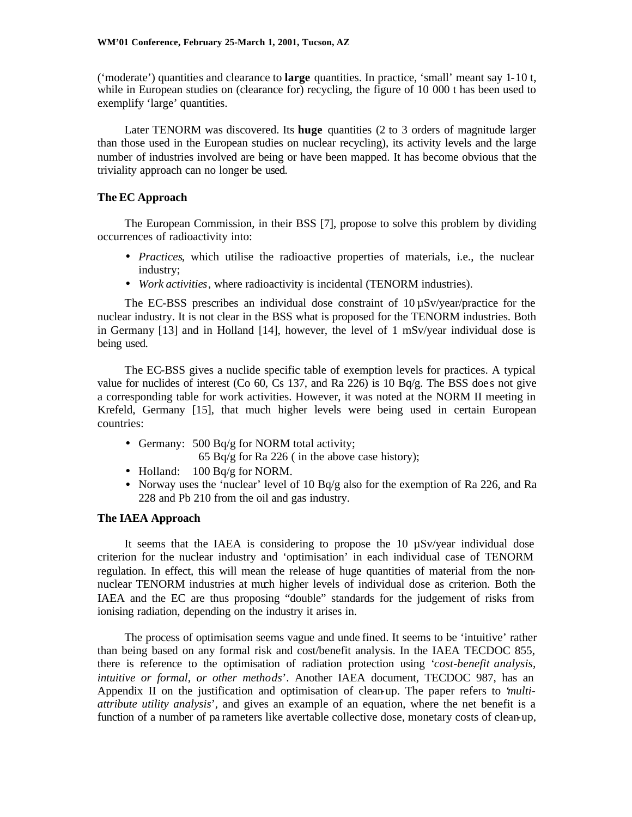('moderate') quantities and clearance to **large** quantities. In practice, 'small' meant say 1-10 t, while in European studies on (clearance for) recycling, the figure of 10 000 t has been used to exemplify 'large' quantities.

Later TENORM was discovered. Its **huge** quantities (2 to 3 orders of magnitude larger than those used in the European studies on nuclear recycling), its activity levels and the large number of industries involved are being or have been mapped. It has become obvious that the triviality approach can no longer be used.

### **The EC Approach**

The European Commission, in their BSS [7], propose to solve this problem by dividing occurrences of radioactivity into:

- *Practices*, which utilise the radioactive properties of materials, i.e., the nuclear industry;
- *Work activities*, where radioactivity is incidental (TENORM industries).

The EC-BSS prescribes an individual dose constraint of  $10 \mu Sv/year/practic$  for the nuclear industry. It is not clear in the BSS what is proposed for the TENORM industries. Both in Germany [13] and in Holland [14], however, the level of 1 mSv/year individual dose is being used.

The EC-BSS gives a nuclide specific table of exemption levels for practices. A typical value for nuclides of interest (Co 60, Cs 137, and Ra 226) is 10 Bq/g. The BSS does not give a corresponding table for work activities. However, it was noted at the NORM II meeting in Krefeld, Germany [15], that much higher levels were being used in certain European countries:

- Germany: 500 Bq/g for NORM total activity;
	- 65 Bq/g for Ra 226 ( in the above case history);
- Holland: 100 Bq/g for NORM.
- Norway uses the 'nuclear' level of 10 Bq/g also for the exemption of Ra 226, and Ra 228 and Pb 210 from the oil and gas industry.

### **The IAEA Approach**

It seems that the IAEA is considering to propose the 10 µSv/year individual dose criterion for the nuclear industry and 'optimisation' in each individual case of TENORM regulation. In effect, this will mean the release of huge quantities of material from the nonnuclear TENORM industries at much higher levels of individual dose as criterion. Both the IAEA and the EC are thus proposing "double" standards for the judgement of risks from ionising radiation, depending on the industry it arises in.

The process of optimisation seems vague and unde fined. It seems to be 'intuitive' rather than being based on any formal risk and cost/benefit analysis. In the IAEA TECDOC 855, there is reference to the optimisation of radiation protection using '*cost-benefit analysis, intuitive or formal, or other methods*'. Another IAEA document, TECDOC 987, has an Appendix II on the justification and optimisation of clean-up. The paper refers to '*multiattribute utility analysis*', and gives an example of an equation, where the net benefit is a function of a number of pa rameters like avertable collective dose, monetary costs of clean-up,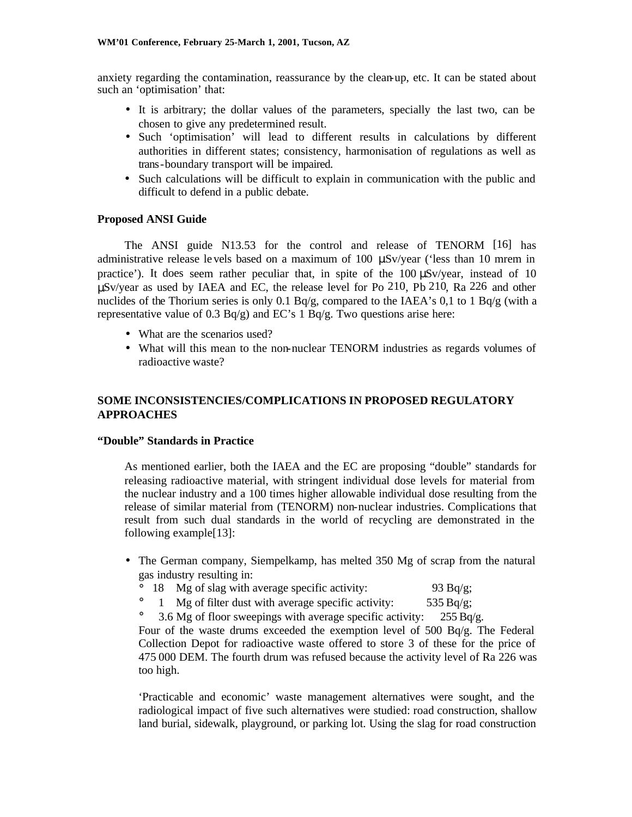anxiety regarding the contamination, reassurance by the clean-up, etc. It can be stated about such an 'optimisation' that:

- It is arbitrary; the dollar values of the parameters, specially the last two, can be chosen to give any predetermined result.
- Such 'optimisation' will lead to different results in calculations by different authorities in different states; consistency, harmonisation of regulations as well as trans-boundary transport will be impaired.
- Such calculations will be difficult to explain in communication with the public and difficult to defend in a public debate.

# **Proposed ANSI Guide**

The ANSI guide N13.53 for the control and release of TENORM [16] has administrative release le vels based on a maximum of 100 μSv/year ('less than 10 mrem in practice'). It does seem rather peculiar that, in spite of the 100 μSv/year, instead of 10 μSv/year as used by IAEA and EC, the release level for Po 210, Pb 210, Ra 226 and other nuclides of the Thorium series is only 0.1 Bq/g, compared to the IAEA's 0,1 to 1 Bq/g (with a representative value of 0.3  $Bq/g$ ) and EC's 1  $Bq/g$ . Two questions arise here:

- What are the scenarios used?
- What will this mean to the non-nuclear TENORM industries as regards volumes of radioactive waste?

# **SOME INCONSISTENCIES/COMPLICATIONS IN PROPOSED REGULATORY APPROACHES**

## **"Double" Standards in Practice**

As mentioned earlier, both the IAEA and the EC are proposing "double" standards for releasing radioactive material, with stringent individual dose levels for material from the nuclear industry and a 100 times higher allowable individual dose resulting from the release of similar material from (TENORM) non-nuclear industries. Complications that result from such dual standards in the world of recycling are demonstrated in the following example[13]:

- The German company, Siempelkamp, has melted 350 Mg of scrap from the natural gas industry resulting in:
	- ° 18 Mg of slag with average specific activity: 93 Bq/g;
	- $\degree$  1 Mg of filter dust with average specific activity: 535 Bq/g;
	- 3.6 Mg of floor sweepings with average specific activity:  $255 Bq/g$ .

Four of the waste drums exceeded the exemption level of 500 Bq/g. The Federal Collection Depot for radioactive waste offered to store 3 of these for the price of 475 000 DEM. The fourth drum was refused because the activity level of Ra 226 was too high.

'Practicable and economic' waste management alternatives were sought, and the radiological impact of five such alternatives were studied: road construction, shallow land burial, sidewalk, playground, or parking lot. Using the slag for road construction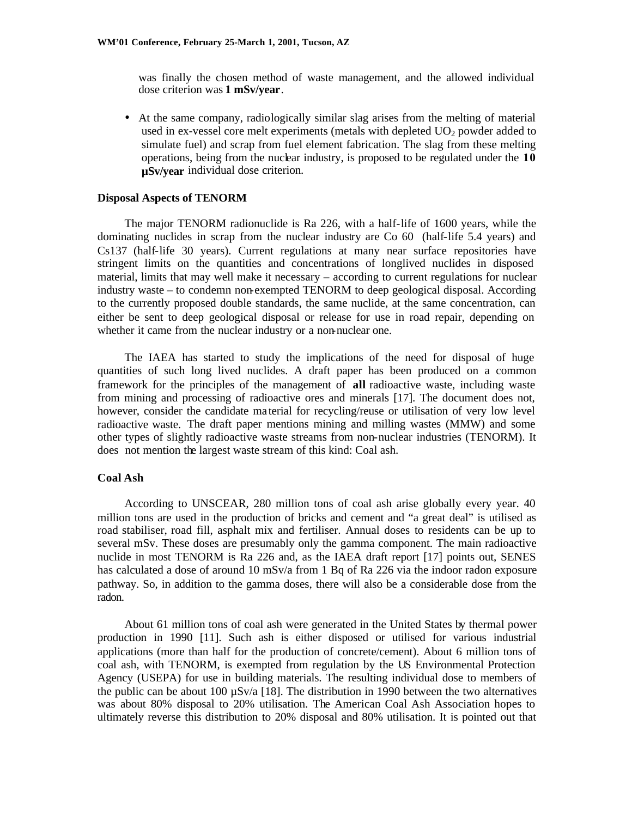was finally the chosen method of waste management, and the allowed individual dose criterion was **1 mSv/year**.

• At the same company, radiologically similar slag arises from the melting of material used in ex-vessel core melt experiments (metals with depleted  $UO<sub>2</sub>$  powder added to simulate fuel) and scrap from fuel element fabrication. The slag from these melting operations, being from the nuclear industry, is proposed to be regulated under the **10 µSv/year** individual dose criterion*.*

#### **Disposal Aspects of TENORM**

The major TENORM radionuclide is Ra 226, with a half-life of 1600 years, while the dominating nuclides in scrap from the nuclear industry are Co 60 (half-life 5.4 years) and Cs137 (half-life 30 years). Current regulations at many near surface repositories have stringent limits on the quantities and concentrations of longlived nuclides in disposed material, limits that may well make it necessary – according to current regulations for nuclear industry waste – to condemn non-exempted TENORM to deep geological disposal. According to the currently proposed double standards, the same nuclide, at the same concentration, can either be sent to deep geological disposal or release for use in road repair, depending on whether it came from the nuclear industry or a non-nuclear one.

The IAEA has started to study the implications of the need for disposal of huge quantities of such long lived nuclides. A draft paper has been produced on a common framework for the principles of the management of **all** radioactive waste, including waste from mining and processing of radioactive ores and minerals [17]. The document does not, however, consider the candidate ma terial for recycling/reuse or utilisation of very low level radioactive waste. The draft paper mentions mining and milling wastes (MMW) and some other types of slightly radioactive waste streams from non-nuclear industries (TENORM). It does not mention the largest waste stream of this kind: Coal ash.

### **Coal Ash**

According to UNSCEAR, 280 million tons of coal ash arise globally every year. 40 million tons are used in the production of bricks and cement and "a great deal" is utilised as road stabiliser, road fill, asphalt mix and fertiliser. Annual doses to residents can be up to several mSv. These doses are presumably only the gamma component. The main radioactive nuclide in most TENORM is Ra 226 and, as the IAEA draft report [17] points out, SENES has calculated a dose of around 10 mSv/a from 1 Bq of Ra 226 via the indoor radon exposure pathway. So, in addition to the gamma doses, there will also be a considerable dose from the radon.

About 61 million tons of coal ash were generated in the United States by thermal power production in 1990 [11]. Such ash is either disposed or utilised for various industrial applications (more than half for the production of concrete/cement). About 6 million tons of coal ash, with TENORM, is exempted from regulation by the US Environmental Protection Agency (USEPA) for use in building materials. The resulting individual dose to members of the public can be about 100  $\mu$ Sv/a [18]. The distribution in 1990 between the two alternatives was about 80% disposal to 20% utilisation. The American Coal Ash Association hopes to ultimately reverse this distribution to 20% disposal and 80% utilisation. It is pointed out that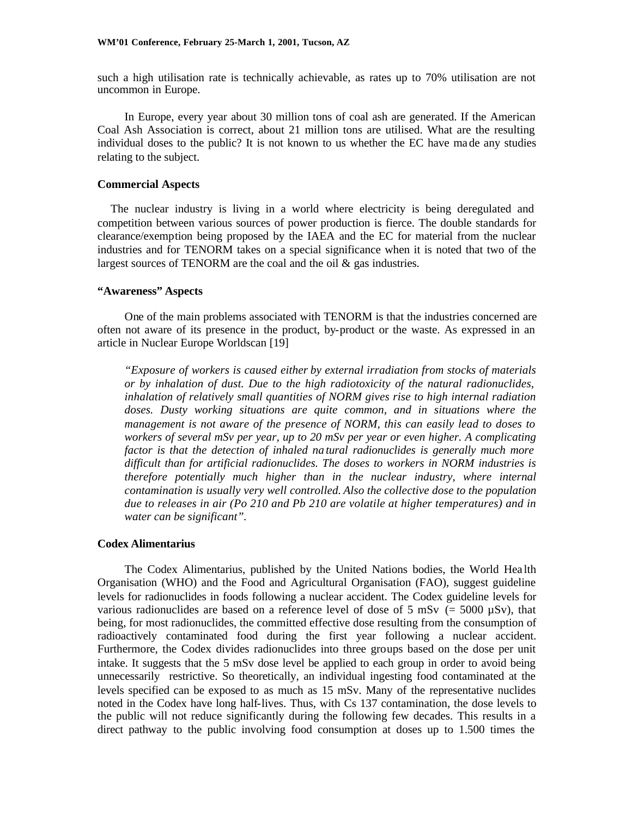such a high utilisation rate is technically achievable, as rates up to 70% utilisation are not uncommon in Europe.

In Europe, every year about 30 million tons of coal ash are generated. If the American Coal Ash Association is correct, about 21 million tons are utilised. What are the resulting individual doses to the public? It is not known to us whether the EC have made any studies relating to the subject.

### **Commercial Aspects**

The nuclear industry is living in a world where electricity is being deregulated and competition between various sources of power production is fierce. The double standards for clearance/exemption being proposed by the IAEA and the EC for material from the nuclear industries and for TENORM takes on a special significance when it is noted that two of the largest sources of TENORM are the coal and the oil & gas industries.

#### **"Awareness" Aspects**

One of the main problems associated with TENORM is that the industries concerned are often not aware of its presence in the product, by-product or the waste. As expressed in an article in Nuclear Europe Worldscan [19]

*"Exposure of workers is caused either by external irradiation from stocks of materials or by inhalation of dust. Due to the high radiotoxicity of the natural radionuclides, inhalation of relatively small quantities of NORM gives rise to high internal radiation doses. Dusty working situations are quite common, and in situations where the management is not aware of the presence of NORM, this can easily lead to doses to workers of several mSv per year, up to 20 mSv per year or even higher. A complicating factor is that the detection of inhaled na tural radionuclides is generally much more difficult than for artificial radionuclides. The doses to workers in NORM industries is therefore potentially much higher than in the nuclear industry, where internal contamination is usually very well controlled. Also the collective dose to the population due to releases in air (Po 210 and Pb 210 are volatile at higher temperatures) and in water can be significant".*

## **Codex Alimentarius**

The Codex Alimentarius, published by the United Nations bodies, the World Hea lth Organisation (WHO) and the Food and Agricultural Organisation (FAO), suggest guideline levels for radionuclides in foods following a nuclear accident. The Codex guideline levels for various radionuclides are based on a reference level of dose of 5 mSv (= 5000  $\mu$ Sv), that being, for most radionuclides, the committed effective dose resulting from the consumption of radioactively contaminated food during the first year following a nuclear accident. Furthermore, the Codex divides radionuclides into three groups based on the dose per unit intake. It suggests that the 5 mSv dose level be applied to each group in order to avoid being unnecessarily restrictive. So theoretically, an individual ingesting food contaminated at the levels specified can be exposed to as much as 15 mSv. Many of the representative nuclides noted in the Codex have long half-lives. Thus, with Cs 137 contamination, the dose levels to the public will not reduce significantly during the following few decades. This results in a direct pathway to the public involving food consumption at doses up to 1.500 times the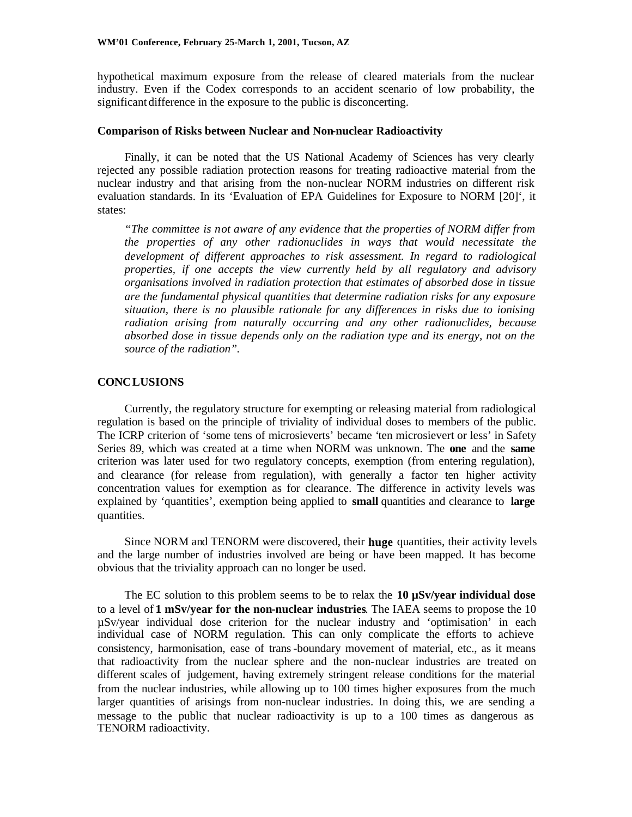hypothetical maximum exposure from the release of cleared materials from the nuclear industry. Even if the Codex corresponds to an accident scenario of low probability, the significant difference in the exposure to the public is disconcerting.

### **Comparison of Risks between Nuclear and Non-nuclear Radioactivity**

Finally, it can be noted that the US National Academy of Sciences has very clearly rejected any possible radiation protection reasons for treating radioactive material from the nuclear industry and that arising from the non-nuclear NORM industries on different risk evaluation standards. In its 'Evaluation of EPA Guidelines for Exposure to NORM [20]', it states:

*"The committee is not aware of any evidence that the properties of NORM differ from the properties of any other radionuclides in ways that would necessitate the development of different approaches to risk assessment. In regard to radiological properties, if one accepts the view currently held by all regulatory and advisory organisations involved in radiation protection that estimates of absorbed dose in tissue are the fundamental physical quantities that determine radiation risks for any exposure situation, there is no plausible rationale for any differences in risks due to ionising radiation arising from naturally occurring and any other radionuclides, because absorbed dose in tissue depends only on the radiation type and its energy, not on the source of the radiation".*

### **CONCLUSIONS**

Currently, the regulatory structure for exempting or releasing material from radiological regulation is based on the principle of triviality of individual doses to members of the public. The ICRP criterion of 'some tens of microsieverts' became 'ten microsievert or less' in Safety Series 89, which was created at a time when NORM was unknown. The **one** and the **same** criterion was later used for two regulatory concepts, exemption (from entering regulation), and clearance (for release from regulation), with generally a factor ten higher activity concentration values for exemption as for clearance. The difference in activity levels was explained by 'quantities', exemption being applied to **small** quantities and clearance to **large** quantities.

Since NORM and TENORM were discovered, their **huge** quantities, their activity levels and the large number of industries involved are being or have been mapped. It has become obvious that the triviality approach can no longer be used.

The EC solution to this problem seems to be to relax the **10 µSv/year individual dose** to a level of **1 mSv/year for the non-nuclear industries**. The IAEA seems to propose the 10 µSv/year individual dose criterion for the nuclear industry and 'optimisation' in each individual case of NORM regulation. This can only complicate the efforts to achieve consistency, harmonisation, ease of trans-boundary movement of material, etc., as it means that radioactivity from the nuclear sphere and the non-nuclear industries are treated on different scales of judgement, having extremely stringent release conditions for the material from the nuclear industries, while allowing up to 100 times higher exposures from the much larger quantities of arisings from non-nuclear industries. In doing this, we are sending a message to the public that nuclear radioactivity is up to a 100 times as dangerous as TENORM radioactivity.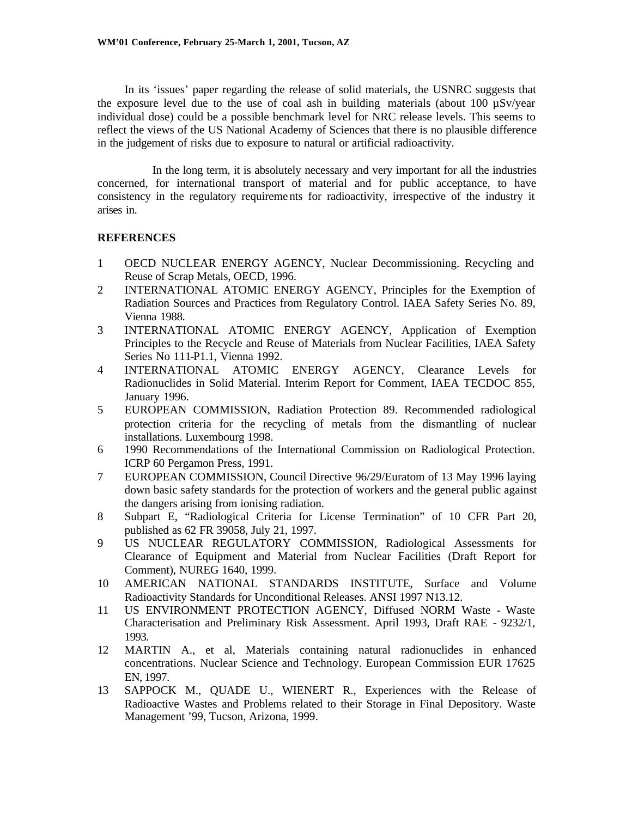In its 'issues' paper regarding the release of solid materials, the USNRC suggests that the exposure level due to the use of coal ash in building materials (about 100  $\mu$ Sv/year individual dose) could be a possible benchmark level for NRC release levels. This seems to reflect the views of the US National Academy of Sciences that there is no plausible difference in the judgement of risks due to exposure to natural or artificial radioactivity.

In the long term, it is absolutely necessary and very important for all the industries concerned, for international transport of material and for public acceptance, to have consistency in the regulatory requireme nts for radioactivity, irrespective of the industry it arises in.

# **REFERENCES**

- 1 OECD NUCLEAR ENERGY AGENCY, Nuclear Decommissioning. Recycling and Reuse of Scrap Metals, OECD, 1996.
- 2 INTERNATIONAL ATOMIC ENERGY AGENCY, Principles for the Exemption of Radiation Sources and Practices from Regulatory Control. IAEA Safety Series No. 89, Vienna 1988.
- 3 INTERNATIONAL ATOMIC ENERGY AGENCY, Application of Exemption Principles to the Recycle and Reuse of Materials from Nuclear Facilities, IAEA Safety Series No 111-P1.1, Vienna 1992.
- 4 INTERNATIONAL ATOMIC ENERGY AGENCY, Clearance Levels for Radionuclides in Solid Material. Interim Report for Comment, IAEA TECDOC 855, January 1996.
- 5 EUROPEAN COMMISSION, Radiation Protection 89. Recommended radiological protection criteria for the recycling of metals from the dismantling of nuclear installations. Luxembourg 1998.
- 6 1990 Recommendations of the International Commission on Radiological Protection. ICRP 60 Pergamon Press, 1991.
- 7 EUROPEAN COMMISSION, Council Directive 96/29/Euratom of 13 May 1996 laying down basic safety standards for the protection of workers and the general public against the dangers arising from ionising radiation.
- 8 Subpart E, "Radiological Criteria for License Termination" of 10 CFR Part 20, published as 62 FR 39058, July 21, 1997.
- 9 US NUCLEAR REGULATORY COMMISSION, Radiological Assessments for Clearance of Equipment and Material from Nuclear Facilities (Draft Report for Comment), NUREG 1640, 1999.
- 10 AMERICAN NATIONAL STANDARDS INSTITUTE, Surface and Volume Radioactivity Standards for Unconditional Releases. ANSI 1997 N13.12.
- 11 US ENVIRONMENT PROTECTION AGENCY, Diffused NORM Waste Waste Characterisation and Preliminary Risk Assessment. April 1993, Draft RAE - 9232/1, 1993.
- 12 MARTIN A., et al, Materials containing natural radionuclides in enhanced concentrations. Nuclear Science and Technology. European Commission EUR 17625 EN, 1997.
- 13 SAPPOCK M., QUADE U., WIENERT R., Experiences with the Release of Radioactive Wastes and Problems related to their Storage in Final Depository. Waste Management '99, Tucson, Arizona, 1999.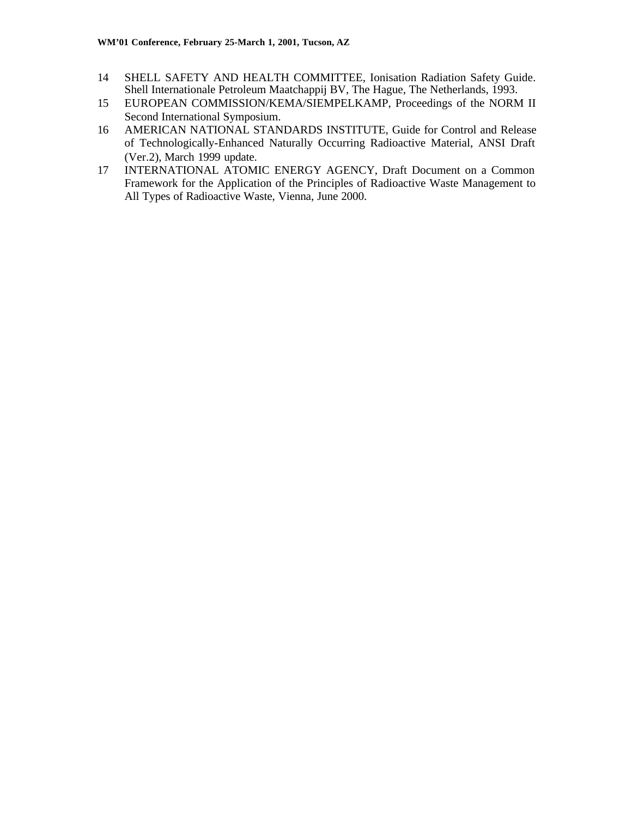- 14 SHELL SAFETY AND HEALTH COMMITTEE, Ionisation Radiation Safety Guide. Shell Internationale Petroleum Maatchappij BV, The Hague, The Netherlands, 1993.
- 15 EUROPEAN COMMISSION/KEMA/SIEMPELKAMP, Proceedings of the NORM II Second International Symposium.
- 16 AMERICAN NATIONAL STANDARDS INSTITUTE, Guide for Control and Release of Technologically-Enhanced Naturally Occurring Radioactive Material, ANSI Draft (Ver.2), March 1999 update.
- 17 INTERNATIONAL ATOMIC ENERGY AGENCY, Draft Document on a Common Framework for the Application of the Principles of Radioactive Waste Management to All Types of Radioactive Waste, Vienna, June 2000.